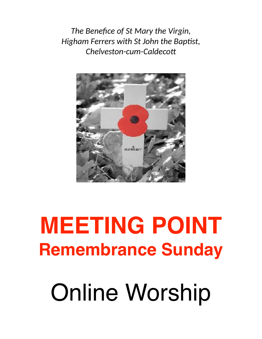*The Benefice of St Mary the Virgin, Higham Ferrers with St John the Baptist, Chelveston-cum-Caldecott*



# **MEETING POINT Remembrance Sunday**

# Online Worship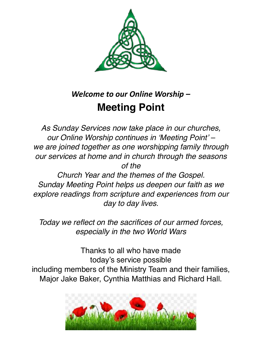

# *Welcome to our Online Worship –*  **Meeting Point**

*As Sunday Services now take place in our churches, our Online Worship continues in 'Meeting Point' – we are joined together as one worshipping family through our services at home and in church through the seasons of the* 

*Church Year and the themes of the Gospel. Sunday Meeting Point helps us deepen our faith as we explore readings from scripture and experiences from our day to day lives.*

*Today we reflect on the sacrifices of our armed forces, especially in the two World Wars*

Thanks to all who have made today's service possible including members of the Ministry Team and their families, Major Jake Baker, Cynthia Matthias and Richard Hall.

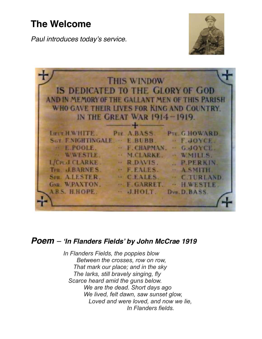## **The Welcome**

*Paul introduces today's service.*





#### *Poem – 'In Flanders Fields' by John McCrae 1919*

 *In Flanders Fields, the poppies blow Between the crosses, row on row, That mark our place; and in the sky The larks, still bravely singing, fly Scarce heard amid the guns below. We are the dead. Short days ago We lived, felt dawn, saw sunset glow, Loved and were loved, and now we lie, In Flanders fields.*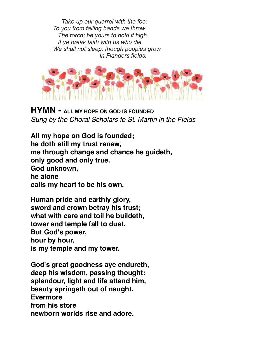*Take up our quarrel with the foe: To you from failing hands we throw The torch; be yours to hold it high. If ye break faith with us who die We shall not sleep, though poppies grow In Flanders fields.*



**HYMN - ALL MY HOPE ON GOD IS FOUNDED**  *Sung by the Choral Scholars fo St. Martin in the Fields*

**All my hope on God is founded; he doth still my trust renew, me through change and chance he guideth, only good and only true. God unknown, he alone calls my heart to be his own.** 

**Human pride and earthly glory, sword and crown betray his trust; what with care and toil he buildeth, tower and temple fall to dust. But God's power, hour by hour, is my temple and my tower.**

**God's great goodness aye endureth, deep his wisdom, passing thought: splendour, light and life attend him, beauty springeth out of naught. Evermore from his store newborn worlds rise and adore.**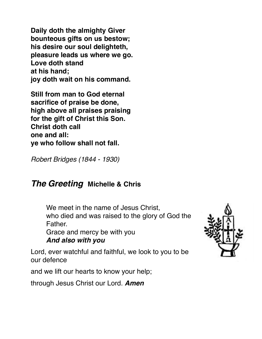**Daily doth the almighty Giver bounteous gifts on us bestow; his desire our soul delighteth, pleasure leads us where we go. Love doth stand at his hand; joy doth wait on his command.** 

**Still from man to God eternal sacrifice of praise be done, high above all praises praising for the gift of Christ this Son. Christ doth call one and all: ye who follow shall not fall.** 

*Robert Bridges (1844 - 1930)* 

#### *The Greeting* **Michelle & Chris**

We meet in the name of Jesus Christ. who died and was raised to the glory of God the Father. Grace and mercy be with you

*And also with you* 

Lord, ever watchful and faithful, we look to you to be our defence

and we lift our hearts to know your help;

through Jesus Christ our Lord. *Amen*

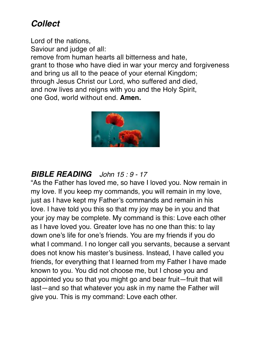### *Collect*

Lord of the nations, Saviour and judge of all: remove from human hearts all bitterness and hate, grant to those who have died in war your mercy and forgiveness and bring us all to the peace of your eternal Kingdom; through Jesus Christ our Lord, who suffered and died, and now lives and reigns with you and the Holy Spirit, one God, world without end. **Amen.**



#### *BIBLE READING John 15 : 9 - 17*

"As the Father has loved me, so have I loved you. Now remain in my love. If you keep my commands, you will remain in my love, just as I have kept my Father's commands and remain in his love. I have told you this so that my joy may be in you and that your joy may be complete. My command is this: Love each other as I have loved you. Greater love has no one than this: to lay down one's life for one's friends. You are my friends if you do what I command. I no longer call you servants, because a servant does not know his master's business. Instead, I have called you friends, for everything that I learned from my Father I have made known to you. You did not choose me, but I chose you and appointed you so that you might go and bear fruit—fruit that will last—and so that whatever you ask in my name the Father will give you. This is my command: Love each other.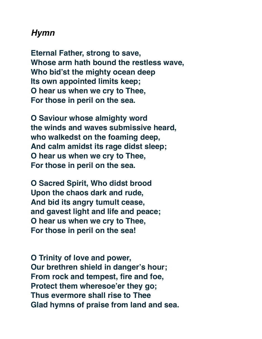#### *Hymn*

**Eternal Father, strong to save, Whose arm hath bound the restless wave, Who bid'st the mighty ocean deep Its own appointed limits keep; O hear us when we cry to Thee, For those in peril on the sea.** 

**O Saviour whose almighty word the winds and waves submissive heard, who walkedst on the foaming deep, And calm amidst its rage didst sleep; O hear us when we cry to Thee, For those in peril on the sea.** 

**O Sacred Spirit, Who didst brood Upon the chaos dark and rude, And bid its angry tumult cease, and gavest light and life and peace; O hear us when we cry to Thee, For those in peril on the sea!** 

**O Trinity of love and power, Our brethren shield in danger's hour; From rock and tempest, fire and foe, Protect them wheresoe'er they go; Thus evermore shall rise to Thee Glad hymns of praise from land and sea.**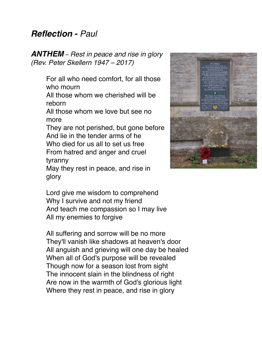#### *Reflection - Paul*

*ANTHEM* – *Rest in peace and rise in glory (Rev. Peter Skellern 1947 – 2017)* 

> For all who need comfort, for all those who mourn

All those whom we cherished will be reborn

All those whom we love but see no more

They are not perished, but gone before And lie in the tender arms of he Who died for us all to set us free From hatred and anger and cruel tyranny

May they rest in peace, and rise in glory



Lord give me wisdom to comprehend Why I survive and not my friend And teach me compassion so I may live All my enemies to forgive

All suffering and sorrow will be no more They'll vanish like shadows at heaven's door All anguish and grieving will one day be healed When all of God's purpose will be revealed Though now for a season lost from sight The innocent slain in the blindness of right Are now in the warmth of God's glorious light Where they rest in peace, and rise in glory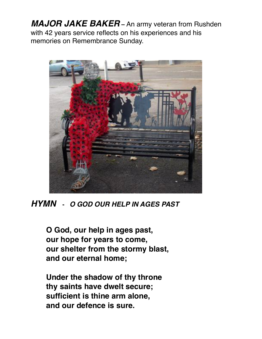*MAJOR JAKE BAKER* **–** An army veteran from Rushden with 42 years service reflects on his experiences and his memories on Remembrance Sunday.



*HYMN* **-** *O GOD OUR HELP IN AGES PAST* 

**O God, our help in ages past, our hope for years to come, our shelter from the stormy blast, and our eternal home;** 

**Under the shadow of thy throne thy saints have dwelt secure; sufficient is thine arm alone, and our defence is sure.**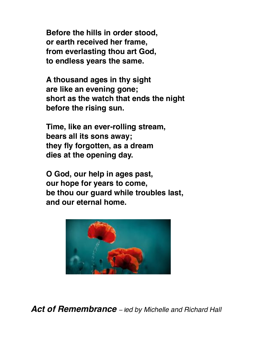**Before the hills in order stood, or earth received her frame, from everlasting thou art God, to endless years the same.** 

**A thousand ages in thy sight are like an evening gone; short as the watch that ends the night before the rising sun.** 

**Time, like an ever-rolling stream, bears all its sons away; they fly forgotten, as a dream dies at the opening day.** 

**O God, our help in ages past, our hope for years to come, be thou our guard while troubles last, and our eternal home.**



*Act of Remembrance – led by Michelle and Richard Hall*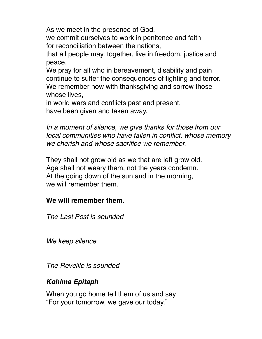As we meet in the presence of God,

we commit ourselves to work in penitence and faith for reconciliation between the nations,

that all people may, together, live in freedom, justice and peace.

We pray for all who in bereavement, disability and pain continue to suffer the consequences of fighting and terror. We remember now with thanksgiving and sorrow those whose lives,

in world wars and conflicts past and present, have been given and taken away.

*In a moment of silence, we give thanks for those from our local communities who have fallen in conflict, whose memory we cherish and whose sacrifice we remember.* 

They shall not grow old as we that are left grow old. Age shall not weary them, not the years condemn. At the going down of the sun and in the morning, we will remember them.

#### **We will remember them.**

*The Last Post is sounded* 

*We keep silence* 

*The Reveille is sounded*

#### *Kohima Epitaph*

When you go home tell them of us and say "For your tomorrow, we gave our today."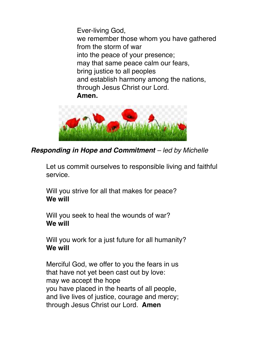Ever-living God, we remember those whom you have gathered from the storm of war into the peace of your presence; may that same peace calm our fears, bring justice to all peoples and establish harmony among the nations, through Jesus Christ our Lord. **Amen.**



*Responding in Hope and Commitment – led by Michelle* 

Let us commit ourselves to responsible living and faithful service.

Will you strive for all that makes for peace? **We will**

Will you seek to heal the wounds of war? **We will**

Will you work for a just future for all humanity? **We will**

Merciful God, we offer to you the fears in us that have not yet been cast out by love: may we accept the hope you have placed in the hearts of all people, and live lives of justice, courage and mercy; through Jesus Christ our Lord. **Amen**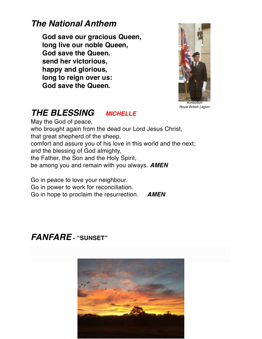#### *The National Anthem*

**God save our gracious Queen, long live our noble Queen, God save the Queen. send her victorious, happy and glorious, long to reign over us: God save the Queen.** 



*Royal British Legion* 

#### *THE BLESSING MICHELLE*

May the God of peace, who brought again from the dead our Lord Jesus Christ, that great shepherd of the sheep, comfort and assure you of his love in this world and the next; and the blessing of God almighty, the Father, the Son and the Holy Spirit, be among you and remain with you always. *AMEN* 

Go in peace to love your neighbour. Go in power to work for reconciliation. Go in hope to proclaim the resurrection. *AMEN*

#### *FANFARE* **- "SUNSET"**